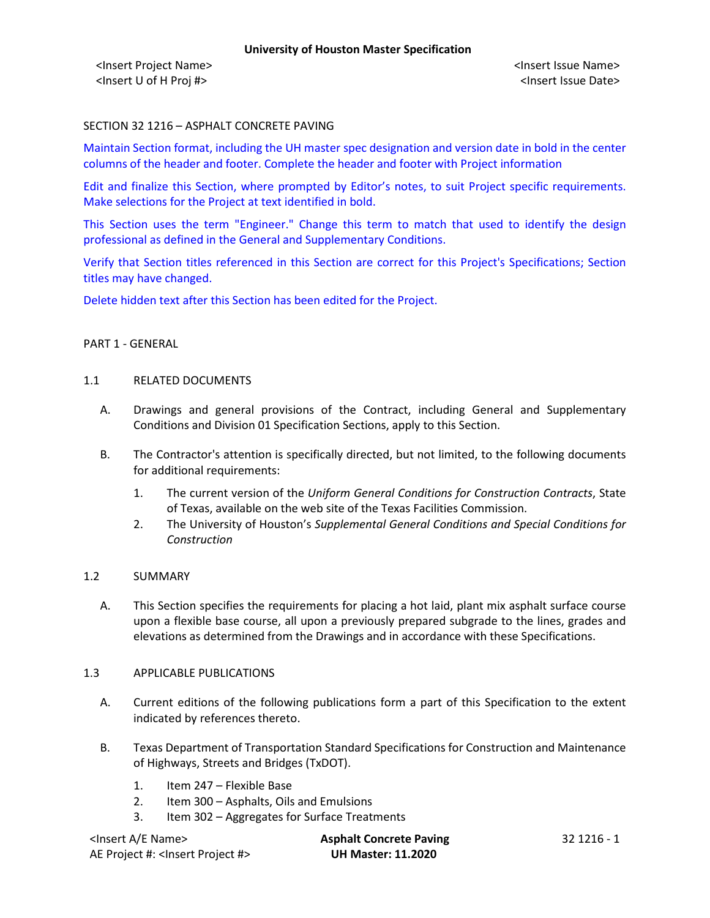<Insert Project Name> <Insert Issue Name> <Insert U of H Proj #> <Insert Issue Date>

## SECTION 32 1216 – ASPHALT CONCRETE PAVING

Maintain Section format, including the UH master spec designation and version date in bold in the center columns of the header and footer. Complete the header and footer with Project information

Edit and finalize this Section, where prompted by Editor's notes, to suit Project specific requirements. Make selections for the Project at text identified in bold.

This Section uses the term "Engineer." Change this term to match that used to identify the design professional as defined in the General and Supplementary Conditions.

Verify that Section titles referenced in this Section are correct for this Project's Specifications; Section titles may have changed.

Delete hidden text after this Section has been edited for the Project.

## PART 1 - GENERAL

### 1.1 RELATED DOCUMENTS

- A. Drawings and general provisions of the Contract, including General and Supplementary Conditions and Division 01 Specification Sections, apply to this Section.
- B. The Contractor's attention is specifically directed, but not limited, to the following documents for additional requirements:
	- 1. The current version of the *Uniform General Conditions for Construction Contracts*, State of Texas, available on the web site of the Texas Facilities Commission.
	- 2. The University of Houston's *Supplemental General Conditions and Special Conditions for Construction*

## 1.2 SUMMARY

A. This Section specifies the requirements for placing a hot laid, plant mix asphalt surface course upon a flexible base course, all upon a previously prepared subgrade to the lines, grades and elevations as determined from the Drawings and in accordance with these Specifications.

#### 1.3 APPLICABLE PUBLICATIONS

- A. Current editions of the following publications form a part of this Specification to the extent indicated by references thereto.
- B. Texas Department of Transportation Standard Specifications for Construction and Maintenance of Highways, Streets and Bridges (TxDOT).
	- 1. Item 247 Flexible Base
	- 2. Item 300 Asphalts, Oils and Emulsions
	- 3. Item 302 Aggregates for Surface Treatments

| <lnsert a="" e="" name=""></lnsert>             | <b>Asphalt Concrete Paving</b> | -32 1216 - 1 |
|-------------------------------------------------|--------------------------------|--------------|
| AE Project #: <lnsert #="" project=""></lnsert> | <b>UH Master: 11.2020</b>      |              |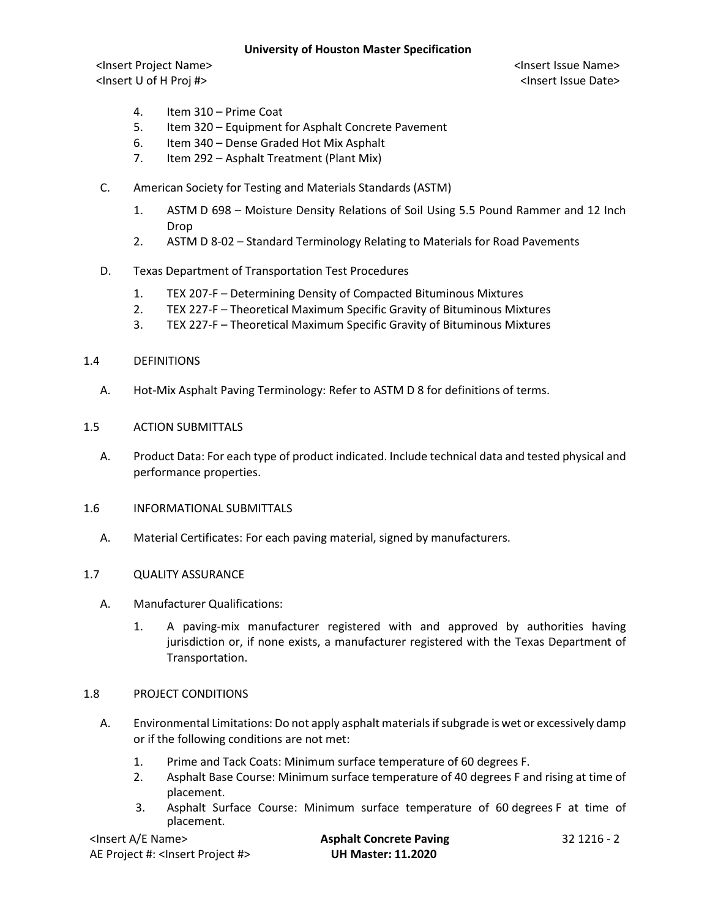# **University of Houston Master Specification**

<Insert Project Name> <Insert Issue Name> <Insert U of H Proj #> <Insert Issue Date>

- 4. Item 310 Prime Coat
- 5. Item 320 Equipment for Asphalt Concrete Pavement
- 6. Item 340 Dense Graded Hot Mix Asphalt
- 7. Item 292 Asphalt Treatment (Plant Mix)
- C. American Society for Testing and Materials Standards (ASTM)
	- 1. ASTM D 698 Moisture Density Relations of Soil Using 5.5 Pound Rammer and 12 Inch Drop
	- 2. ASTM D 8-02 Standard Terminology Relating to Materials for Road Pavements
- D. Texas Department of Transportation Test Procedures
	- 1. TEX 207-F Determining Density of Compacted Bituminous Mixtures
	- 2. TEX 227-F Theoretical Maximum Specific Gravity of Bituminous Mixtures
	- 3. TEX 227-F Theoretical Maximum Specific Gravity of Bituminous Mixtures
- 1.4 DEFINITIONS
	- A. Hot-Mix Asphalt Paving Terminology: Refer to ASTM D 8 for definitions of terms.
- 1.5 ACTION SUBMITTALS
	- A. Product Data: For each type of product indicated. Include technical data and tested physical and performance properties.
- 1.6 INFORMATIONAL SUBMITTALS
	- A. Material Certificates: For each paving material, signed by manufacturers.

## 1.7 QUALITY ASSURANCE

- A. Manufacturer Qualifications:
	- 1. A paving-mix manufacturer registered with and approved by authorities having jurisdiction or, if none exists, a manufacturer registered with the Texas Department of Transportation.

## 1.8 PROJECT CONDITIONS

- A. Environmental Limitations: Do not apply asphalt materials if subgrade is wet or excessively damp or if the following conditions are not met:
	- 1. Prime and Tack Coats: Minimum surface temperature of 60 degrees F.
	- 2. Asphalt Base Course: Minimum surface temperature of 40 degrees F and rising at time of placement.
	- 3. Asphalt Surface Course: Minimum surface temperature of 60 degrees F at time of placement.

| <lnsert a="" e="" name=""></lnsert>             | <b>Asphalt Concrete Paving</b> | 32 1216 - 2 |
|-------------------------------------------------|--------------------------------|-------------|
| AE Project #: <insert #="" project=""></insert> | <b>UH Master: 11.2020</b>      |             |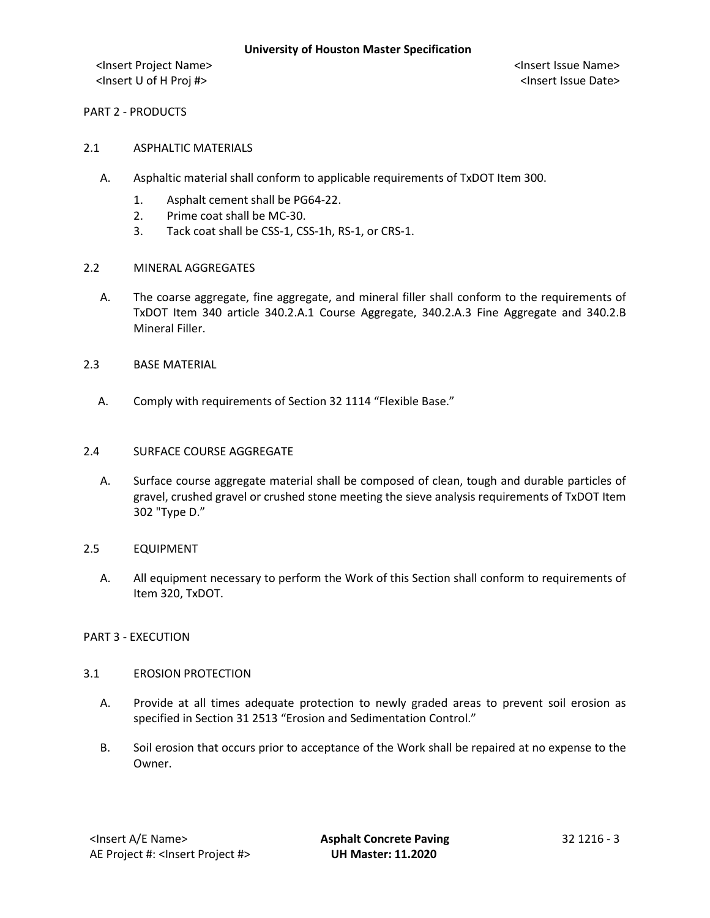<Insert Project Name> <Insert Issue Name> <Insert U of H Proj #> <Insert Issue Date>

PART 2 - PRODUCTS

- 2.1 ASPHALTIC MATERIALS
	- A. Asphaltic material shall conform to applicable requirements of TxDOT Item 300.
		- 1. Asphalt cement shall be PG64-22.
		- 2. Prime coat shall be MC-30.
		- 3. Tack coat shall be CSS-1, CSS-1h, RS-1, or CRS-1.
- 2.2 MINERAL AGGREGATES
	- A. The coarse aggregate, fine aggregate, and mineral filler shall conform to the requirements of TxDOT Item 340 article 340.2.A.1 Course Aggregate, 340.2.A.3 Fine Aggregate and 340.2.B Mineral Filler.
- 2.3 BASE MATERIAL
	- A. Comply with requirements of Section 32 1114 "Flexible Base."

#### 2.4 SURFACE COURSE AGGREGATE

A. Surface course aggregate material shall be composed of clean, tough and durable particles of gravel, crushed gravel or crushed stone meeting the sieve analysis requirements of TxDOT Item 302 "Type D."

## 2.5 EQUIPMENT

A. All equipment necessary to perform the Work of this Section shall conform to requirements of Item 320, TxDOT.

## PART 3 - EXECUTION

### 3.1 EROSION PROTECTION

- A. Provide at all times adequate protection to newly graded areas to prevent soil erosion as specified in Section 31 2513 "Erosion and Sedimentation Control."
- B. Soil erosion that occurs prior to acceptance of the Work shall be repaired at no expense to the Owner.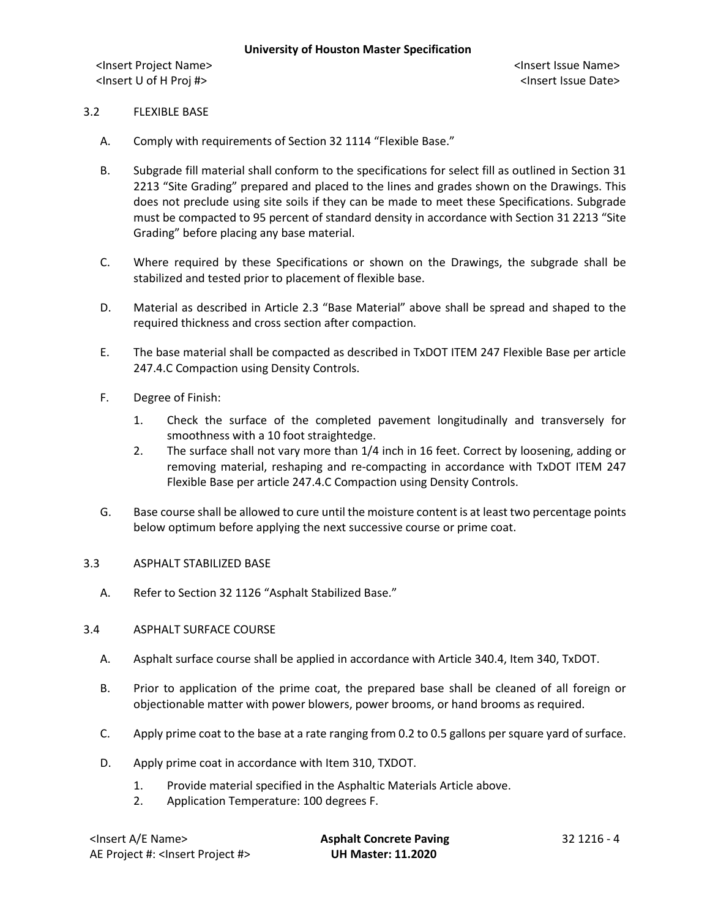<Insert Project Name> <Insert Issue Name> <Insert U of H Proj #> <Insert Issue Date>

## 3.2 FLEXIBLE BASE

- A. Comply with requirements of Section 32 1114 "Flexible Base."
- B. Subgrade fill material shall conform to the specifications for select fill as outlined in Section 31 2213 "Site Grading" prepared and placed to the lines and grades shown on the Drawings. This does not preclude using site soils if they can be made to meet these Specifications. Subgrade must be compacted to 95 percent of standard density in accordance with Section 31 2213 "Site Grading" before placing any base material.
- C. Where required by these Specifications or shown on the Drawings, the subgrade shall be stabilized and tested prior to placement of flexible base.
- D. Material as described in Article 2.3 "Base Material" above shall be spread and shaped to the required thickness and cross section after compaction.
- E. The base material shall be compacted as described in TxDOT ITEM 247 Flexible Base per article 247.4.C Compaction using Density Controls.
- F. Degree of Finish:
	- 1. Check the surface of the completed pavement longitudinally and transversely for smoothness with a 10 foot straightedge.
	- 2. The surface shall not vary more than 1/4 inch in 16 feet. Correct by loosening, adding or removing material, reshaping and re-compacting in accordance with TxDOT ITEM 247 Flexible Base per article 247.4.C Compaction using Density Controls.
- G. Base course shall be allowed to cure until the moisture content is at least two percentage points below optimum before applying the next successive course or prime coat.

## 3.3 ASPHALT STABILIZED BASE

A. Refer to Section 32 1126 "Asphalt Stabilized Base."

## 3.4 ASPHALT SURFACE COURSE

- A. Asphalt surface course shall be applied in accordance with Article 340.4, Item 340, TxDOT.
- B. Prior to application of the prime coat, the prepared base shall be cleaned of all foreign or objectionable matter with power blowers, power brooms, or hand brooms as required.
- C. Apply prime coat to the base at a rate ranging from 0.2 to 0.5 gallons per square yard of surface.
- D. Apply prime coat in accordance with Item 310, TXDOT.
	- 1. Provide material specified in the Asphaltic Materials Article above.
	- 2. Application Temperature: 100 degrees F.

| <insert a="" e="" name=""></insert>             |
|-------------------------------------------------|
| AE Project #: <lnsert #="" project=""></lnsert> |